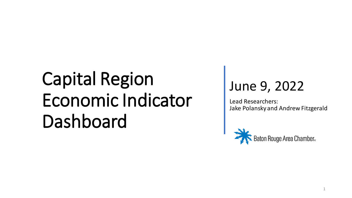#### June 9, 2022

Lead Researchers: Jake Polansky and Andrew Fitzgerald

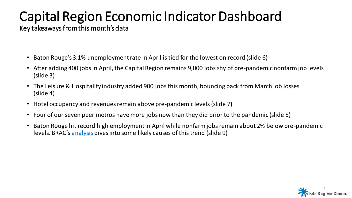Key takeaways from this month's data

- Baton Rouge's 3.1% unemployment rate in April is tied for the lowest on record (slide 6)
- After adding 400 jobs in April, the Capital Region remains 9,000 jobs shy of pre-pandemic nonfarm job levels (slide 3)
- The Leisure & Hospitality industry added 900 jobs this month, bouncing back from March job losses (slide 4)
- Hotel occupancy and revenues remain above pre-pandemic levels (slide 7)
- Four of our seven peer metros have more jobs now than they did prior to the pandemic (slide 5)
- Baton Rouge hit record high employment in April while nonfarm jobs remain about 2% below pre-pandemic levels. BRAC's [analysis](https://brbythenumbers.substack.com/p/the-asymmetric-capital-region-workforce?s=w) dives into some likely causes of this trend (slide 9)

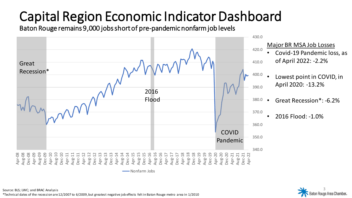Baton Rouge remains 9,000 jobs short of pre-pandemic nonfarm job levels



aton Rouge Area Chamber.

Source: BLS; LWC; and BRAC Analysis \*Technical dates of the recession are 12/2007 to 6/2009, but greatest negative job effects felt in Baton Rouge metro area in 1/2010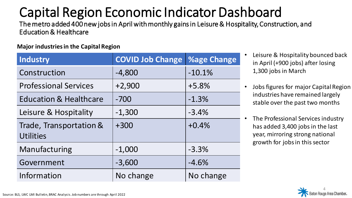The metro added 400 new jobs in April with monthly gains in Leisure & Hospitality, Construction, and Education & Healthcare

#### **Major industries in the Capital Region**

| Industry                                    | <b>COVID Job Change</b> | <b>%age Change</b> |
|---------------------------------------------|-------------------------|--------------------|
| Construction                                | $-4,800$                | $-10.1%$           |
| <b>Professional Services</b>                | $+2,900$                | $+5.8%$            |
| <b>Education &amp; Healthcare</b>           | $-700$                  | $-1.3%$            |
| Leisure & Hospitality                       | $-1,300$                | $-3.4%$            |
| Trade, Transportation &<br><b>Utilities</b> | $+300$                  | $+0.4%$            |
| Manufacturing                               | $-1,000$                | $-3.3%$            |
| Government                                  | $-3,600$                | $-4.6%$            |
| Information                                 | No change               | No change          |

- Leisure & Hospitality bounced back in April (+900 jobs) after losing 1,300 jobs in March
- Jobs figures for major Capital Region industries have remained largely stable over the past two months
- The Professional Services industry has added 3,400 jobs in the last year, mirroring strong national growth for jobs in this sector

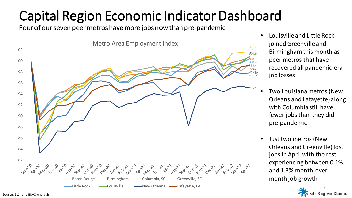Four of our seven peer metros have more jobs now than pre-pandemic



- Louisville and Little Rock joined Greenville and Birmingham this month as peer metros that have recovered all pandemic-era job losses
- Two Louisiana metros (New Orleans and Lafayette) along with Columbia still have fewer jobs than they did pre-pandemic
- Just two metros (New Orleans and Greenville) lost jobs in April with the rest experiencing between 0.1% and 1.3% month-overmonth job growth

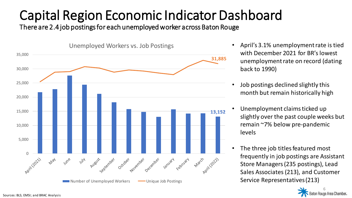There are 2.4 job postings for each unemployed worker across Baton Rouge



- April's 3.1% unemployment rate is tied with December 2021 for BR's lowest unemployment rate on record (dating back to 1990)
- Job postings declined slightly this month but remain historically high
- Unemployment claims ticked up slightly over the past couple weeks but remain ~7% below pre-pandemic levels
- The three job titles featured most frequently in job postings are Assistant Store Managers (235 postings), Lead Sales Associates (213), and Customer Service Representatives (213)

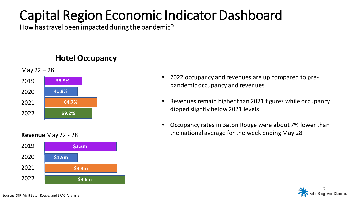How has travel been impacted during the pandemic?

#### **Hotel Occupancy**



#### **Revenue** May 22 - 28



- 2022 occupancy and revenues are up compared to prepandemic occupancy and revenues
- Revenues remain higher than 2021 figures while occupancy dipped slightly below 2021 levels
- Occupancy rates in Baton Rouge were about 7% lower than the national average for the week ending May 28

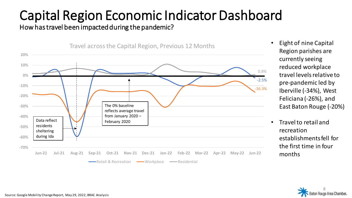#### How has travel been impacted during the pandemic?



- Eight of nine Capital Region parishes are currently seeing reduced workplace travel levels relative to pre-pandemic led by Iberville (-34%), West Feliciana (-26%), and East Baton Rouge (-20%)
- Travel to retail and recreation establishments fell for the first time in four months